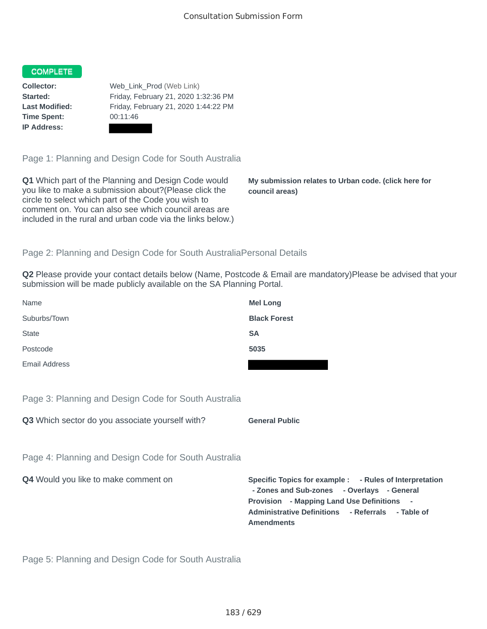## **COMPLETE**

**Time Spent:** 00:11:46 **IP Address:**

**Collector:** Web\_Link\_Prod (Web Link) **Started:** Friday, February 21, 2020 1:32:36 PM **Last Modified:** Friday, February 21, 2020 1:44:22 PM

Page 1: Planning and Design Code for South Australia

**Q1** Which part of the Planning and Design Code would you like to make a submission about?(Please click the circle to select which part of the Code you wish to comment on. You can also see which council areas are included in the rural and urban code via the links below.)

**My submission relates to Urban code. (click here for council areas)**

## Page 2: Planning and Design Code for South AustraliaPersonal Details

**Q2** Please provide your contact details below (Name, Postcode & Email are mandatory)Please be advised that your submission will be made publicly available on the SA Planning Portal.

| Name                                                 | <b>Mel Long</b>       |
|------------------------------------------------------|-----------------------|
| Suburbs/Town                                         | <b>Black Forest</b>   |
| <b>State</b>                                         | <b>SA</b>             |
| Postcode                                             | 5035                  |
| Email Address                                        |                       |
|                                                      |                       |
| Page 3: Planning and Design Code for South Australia |                       |
| Q3 Which sector do you associate yourself with?      | <b>General Public</b> |
|                                                      |                       |
|                                                      |                       |

**Q4** Would you like to make comment on **Specific Topics for example : - Rules of Interpretation - Zones and Sub-zones - Overlays - General Provision - Mapping Land Use Definitions - Administrative Definitions - Referrals - Table of Amendments**

Page 5: Planning and Design Code for South Australia

Page 4: Planning and Design Code for South Australia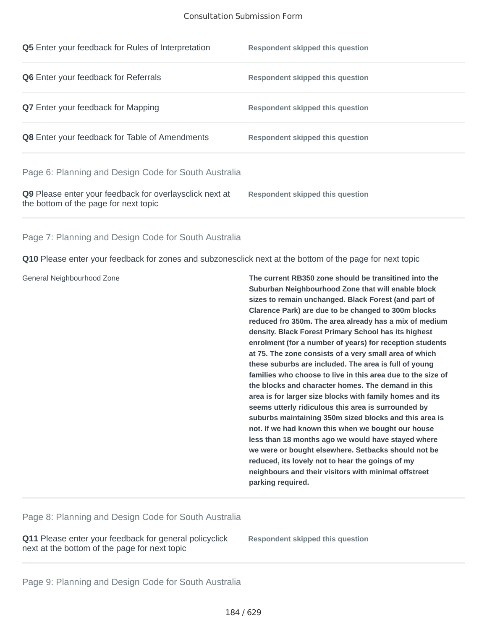| <b>Q5</b> Enter your feedback for Rules of Interpretation                                        | Respondent skipped this question        |
|--------------------------------------------------------------------------------------------------|-----------------------------------------|
| <b>Q6</b> Enter your feedback for Referrals                                                      | Respondent skipped this question        |
| <b>Q7</b> Enter your feedback for Mapping                                                        | Respondent skipped this question        |
| <b>Q8</b> Enter your feedback for Table of Amendments                                            | Respondent skipped this question        |
| Page 6: Planning and Design Code for South Australia                                             |                                         |
| Q9 Please enter your feedback for overlaysclick next at<br>the bottom of the page for next topic | <b>Respondent skipped this question</b> |

Page 7: Planning and Design Code for South Australia

**Q10** Please enter your feedback for zones and subzonesclick next at the bottom of the page for next topic

General Neighbourhood Zone **The current RB350 zone should be transitined into the Suburban Neighbourhood Zone that will enable block sizes to remain unchanged. Black Forest (and part of Clarence Park) are due to be changed to 300m blocks reduced fro 350m. The area already has a mix of medium density. Black Forest Primary School has its highest enrolment (for a number of years) for reception students at 75. The zone consists of a very small area of which these suburbs are included. The area is full of young families who choose to live in this area due to the size of the blocks and character homes. The demand in this area is for larger size blocks with family homes and its seems utterly ridiculous this area is surrounded by suburbs maintaining 350m sized blocks and this area is not. If we had known this when we bought our house less than 18 months ago we would have stayed where we were or bought elsewhere. Setbacks should not be reduced, its lovely not to hear the goings of my neighbours and their visitors with minimal offstreet parking required.**

Page 8: Planning and Design Code for South Australia

**Q11** Please enter your feedback for general policyclick next at the bottom of the page for next topic

**Respondent skipped this question**

Page 9: Planning and Design Code for South Australia